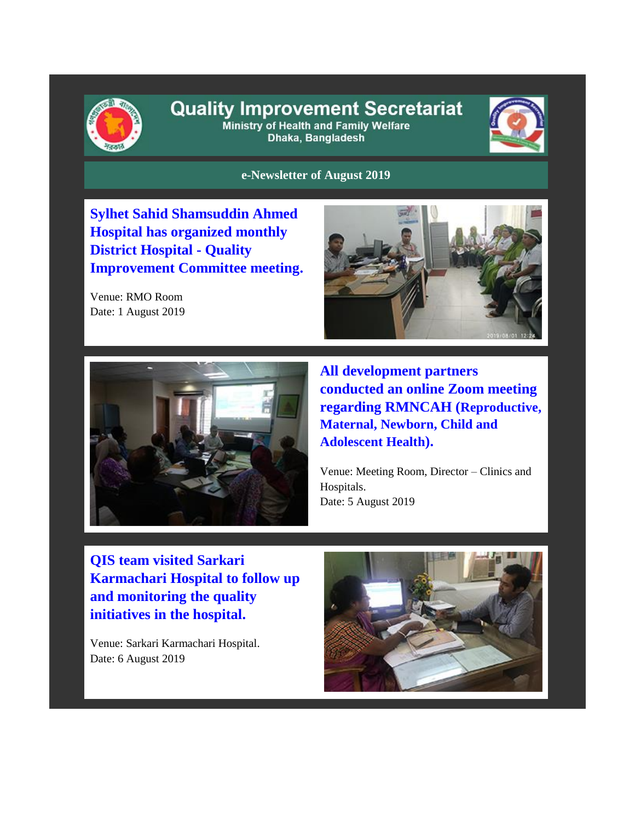

# **Quality Improvement Secretariat**

Ministry of Health and Family Welfare Dhaka, Bangladesh



**e-Newsletter of August 2019**

**Sylhet Sahid Shamsuddin Ahmed Hospital has organized monthly District Hospital - Quality Improvement Committee meeting.**

Venue: RMO Room Date: 1 August 2019





**All development partners conducted an online Zoom meeting regarding RMNCAH (Reproductive, Maternal, Newborn, Child and Adolescent Health).** 

Venue: Meeting Room, Director – Clinics and Hospitals. Date: 5 August 2019

**QIS team visited Sarkari Karmachari Hospital to follow up and monitoring the quality initiatives in the hospital.**

Venue: Sarkari Karmachari Hospital. Date: 6 August 2019

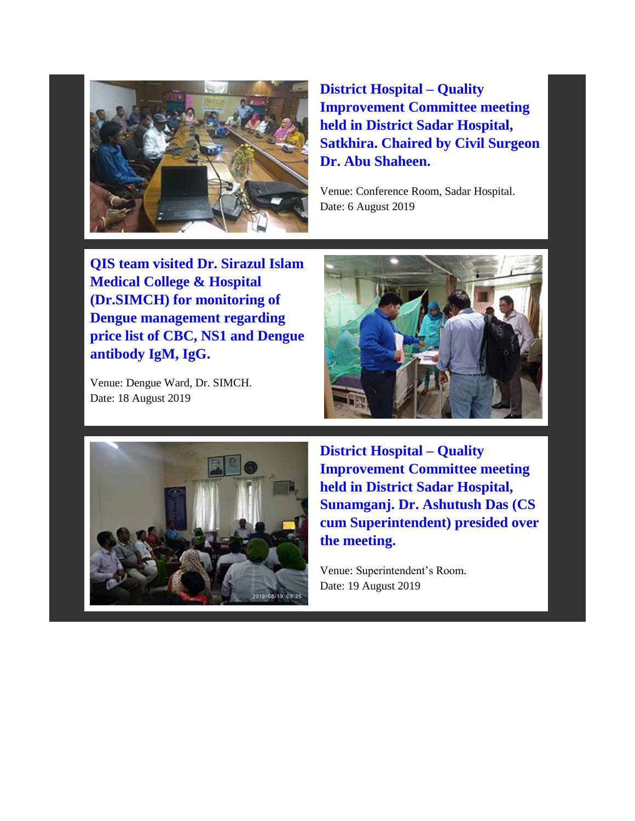

**District Hospital – Quality Improvement Committee meeting held in District Sadar Hospital, Satkhira. Chaired by Civil Surgeon Dr. Abu Shaheen.**

Venue: Conference Room, Sadar Hospital. Date: 6 August 2019

**QIS team visited Dr. Sirazul Islam Medical College & Hospital (Dr.SIMCH) for monitoring of Dengue management regarding price list of CBC, NS1 and Dengue antibody IgM, IgG.**

Venue: Dengue Ward, Dr. SIMCH. Date: 18 August 2019





**District Hospital – Quality Improvement Committee meeting held in District Sadar Hospital, Sunamganj. Dr. Ashutush Das (CS cum Superintendent) presided over the meeting.** 

Venue: Superintendent's Room. Date: 19 August 2019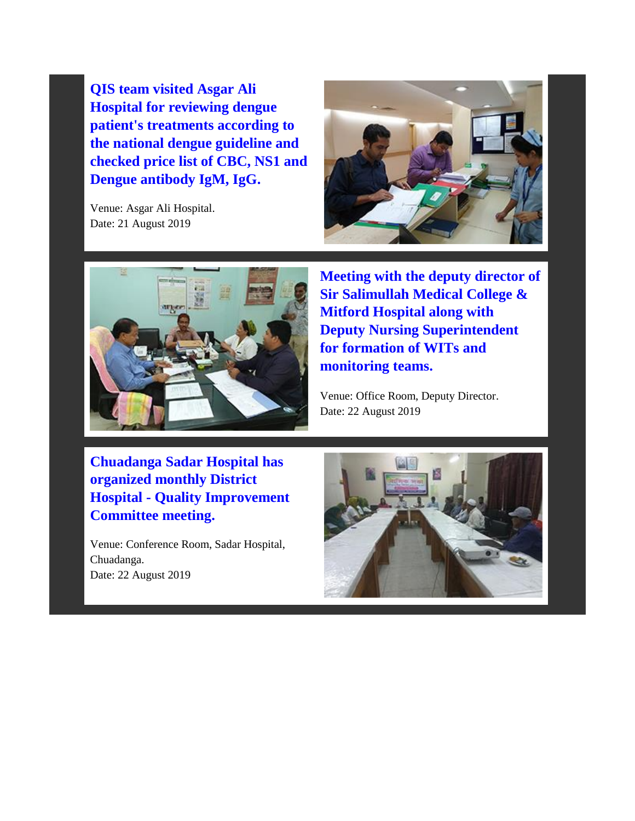**QIS team visited Asgar Ali Hospital for reviewing dengue patient's treatments according to the national dengue guideline and checked price list of CBC, NS1 and Dengue antibody IgM, IgG.**

Venue: Asgar Ali Hospital. Date: 21 August 2019





**Meeting with the deputy director of Sir Salimullah Medical College & Mitford Hospital along with Deputy Nursing Superintendent for formation of WITs and monitoring teams.**

Venue: Office Room, Deputy Director. Date: 22 August 2019

**Chuadanga Sadar Hospital has organized monthly District Hospital - Quality Improvement Committee meeting.**

Venue: Conference Room, Sadar Hospital, Chuadanga. Date: 22 August 2019

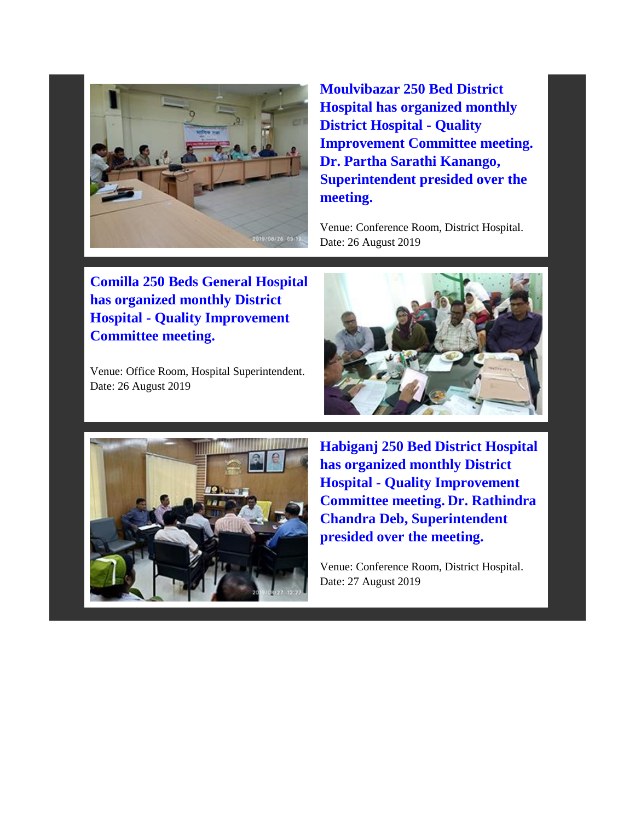

**Moulvibazar 250 Bed District Hospital has organized monthly District Hospital - Quality Improvement Committee meeting. Dr. Partha Sarathi Kanango, Superintendent presided over the meeting.** 

Venue: Conference Room, District Hospital. Date: 26 August 2019

**Comilla 250 Beds General Hospital has organized monthly District Hospital - Quality Improvement Committee meeting.**

Venue: Office Room, Hospital Superintendent. Date: 26 August 2019





**Habiganj 250 Bed District Hospital has organized monthly District Hospital - Quality Improvement Committee meeting. Dr. Rathindra Chandra Deb, Superintendent presided over the meeting.** 

Venue: Conference Room, District Hospital. Date: 27 August 2019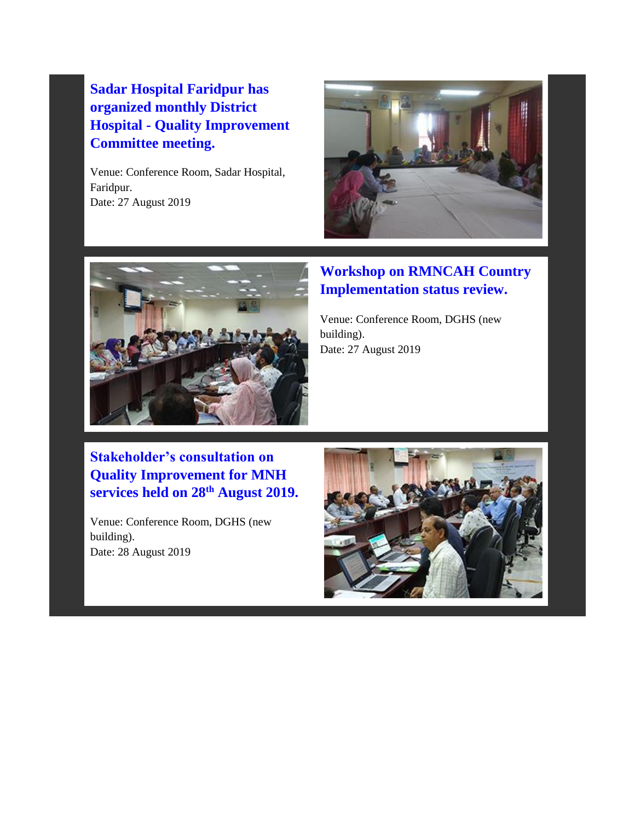## **Sadar Hospital Faridpur has organized monthly District Hospital - Quality Improvement Committee meeting.**

Venue: Conference Room, Sadar Hospital, Faridpur. Date: 27 August 2019





#### **Workshop on RMNCAH Country Implementation status review.**

Venue: Conference Room, DGHS (new building). Date: 27 August 2019

## **Stakeholder's consultation on Quality Improvement for MNH services held on 28th August 2019.**

Venue: Conference Room, DGHS (new building). Date: 28 August 2019